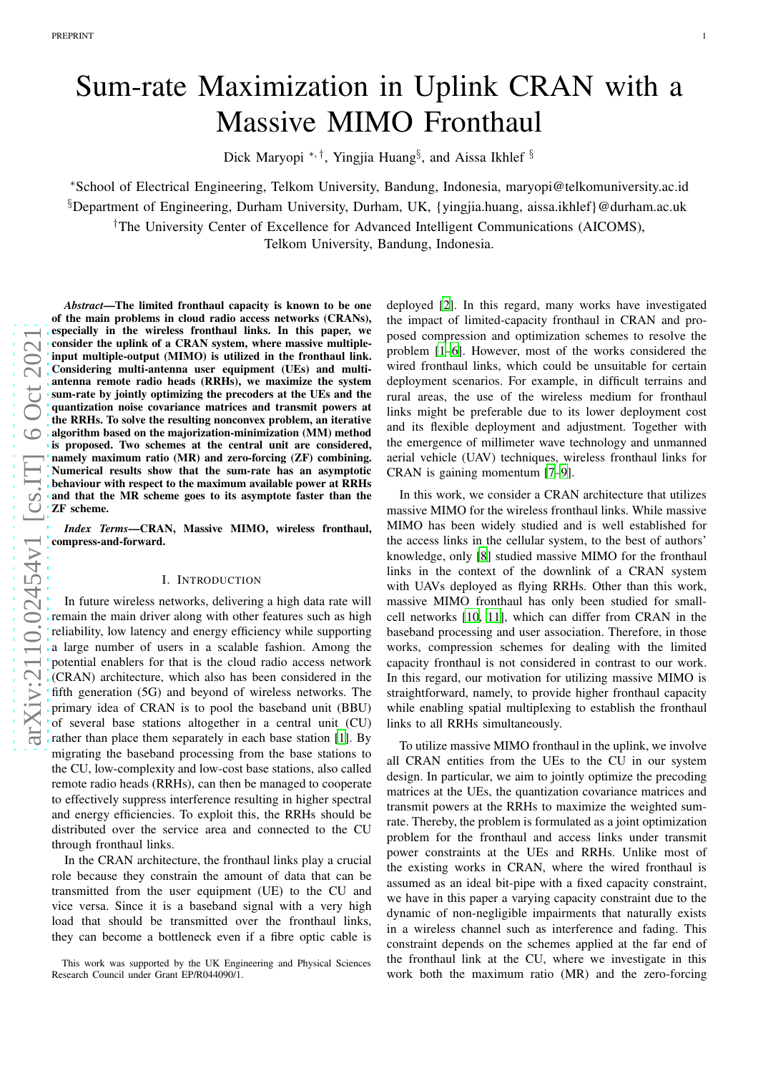# Sum-rate Maximization in Uplink CRAN with a Massive MIMO Fronthaul

Dick Maryopi \*, <sup>†</sup>, Yingjia Huang<sup>§</sup>, and Aissa Ikhlef <sup>§</sup>

<sup>∗</sup>School of Electrical Engineering, Telkom University, Bandung, Indonesia, maryopi@telkomuniversity.ac.id  $\S$ Department of Engineering, Durham University, Durham, UK, {yingjia.huang, aissa.ikhlef}@durham.ac.uk †The University Center of Excellence for Advanced Intelligent Communications (AICOMS),

Telkom University, Bandung, Indonesia.

*Abstract*—The limited fronthaul capacity is known to be one of the main problems in cloud radio access networks (CRANs), especially in the wireless fronthaul links. In this paper, w e consider the uplink of a CRAN system, where massive multiple input multiple-output (MIMO) is utilized in the fronthaul link. Considering multi-antenna user equipment (UEs) and multiantenna remote radio heads (RRHs), we maximize the system sum-rate by jointly optimizing the precoders at the UEs and the quantization noise covariance matrices and transmit powers at the RRHs. To solve the resulting nonconvex problem, an iterative algorithm based on the majorization-minimization (MM) method is proposed. Two schemes at the central unit are considered, namely maximum ratio (MR) and zero-forcing (ZF) combining. Numerical results show that the sum-rate has an asymptotic behaviour with respect to the maximum available power at RRH s and that the MR scheme goes to its asymptote faster than the ZF scheme.

*Index Terms*—CRAN, Massive MIMO, wireless fronthaul, compress-and-forward.

# I. INTRODUCTION

In future wireless networks, delivering a high data rate wil l remain the main driver along with other features such as high reliability, low latency and energy efficiency while supporting a large number of users in a scalable fashion. Among the potential enablers for that is the cloud radio access networ k (CRAN) architecture, which also has been considered in the fifth generation (5G) and beyond of wireless networks. The primary idea of CRAN is to pool the baseband unit (BBU) of several base stations altogether in a central unit (CU) rather than place them separately in each base station [\[1\]](#page-5-0). B y migrating the baseband processing from the base stations to the CU, low-complexity and low-cost base stations, also called remote radio heads (RRHs), can then be managed to cooperate to effectively suppress interference resulting in higher spectral and energy efficiencies. To exploit this, the RRHs should be distributed over the service area and connected to the CU through fronthaul links.

In the CRAN architecture, the fronthaul links play a crucial role because they constrain the amount of data that can be transmitted from the user equipment (UE) to the CU and vice versa. Since it is a baseband signal with a very high load that should be transmitted over the fronthaul links, they can become a bottleneck even if a fibre optic cable is

deployed [\[2](#page-5-1)]. In this regard, many works have investigated the impact of limited-capacity fronthaul in CRAN and proposed compression and optimization schemes to resolve the problem [\[1](#page-5-0)[–6\]](#page-5-2). However, most of the works considered the wired fronthaul links, which could be unsuitable for certai n deployment scenarios. For example, in difficult terrains an d rural areas, the use of the wireless medium for fronthaul links might be preferable due to its lower deployment cost and its flexible deployment and adjustment. Together with the emergence of millimeter wave technology and unmanned aerial vehicle (UAV) techniques, wireless fronthaul links for CRAN is gaining momentum [\[7](#page-5-3)[–9](#page-5-4)].

1

In this work, we consider a CRAN architecture that utilizes massive MIMO for the wireless fronthaul links. While massiv e MIMO has been widely studied and is well established for the access links in the cellular system, to the best of authors' knowledge, only [\[8](#page-5-5)] studied massive MIMO for the fronthaul links in the context of the downlink of a CRAN system with UAVs deployed as flying RRHs. Other than this work, massive MIMO fronthaul has only been studied for smallcell networks [\[10](#page-5-6), [11\]](#page-5-7), which can differ from CRAN in the baseband processing and user association. Therefore, in those works, compression schemes for dealing with the limited capacity fronthaul is not considered in contrast to our work . In this regard, our motivation for utilizing massive MIMO is straightforward, namely, to provide higher fronthaul capacity while enabling spatial multiplexing to establish the fronthaul links to all RRHs simultaneously.

To utilize massive MIMO fronthaul in the uplink, we involve all CRAN entities from the UEs to the CU in our system design. In particular, we aim to jointly optimize the precoding matrices at the UEs, the quantization covariance matrices and transmit powers at the RRHs to maximize the weighted sumrate. Thereby, the problem is formulated as a joint optimization problem for the fronthaul and access links under transmit power constraints at the UEs and RRHs. Unlike most of the existing works in CRAN, where the wired fronthaul is assumed as an ideal bit-pipe with a fixed capacity constraint , we have in this paper a varying capacity constraint due to the dynamic of non-negligible impairments that naturally exists in a wireless channel such as interference and fading. This constraint depends on the schemes applied at the far end of the fronthaul link at the CU, where we investigate in this work both the maximum ratio (MR) and the zero-forcing

This work was supported by the UK Engineering and Physical Sciences Research Council under Grant EP/R044090/1.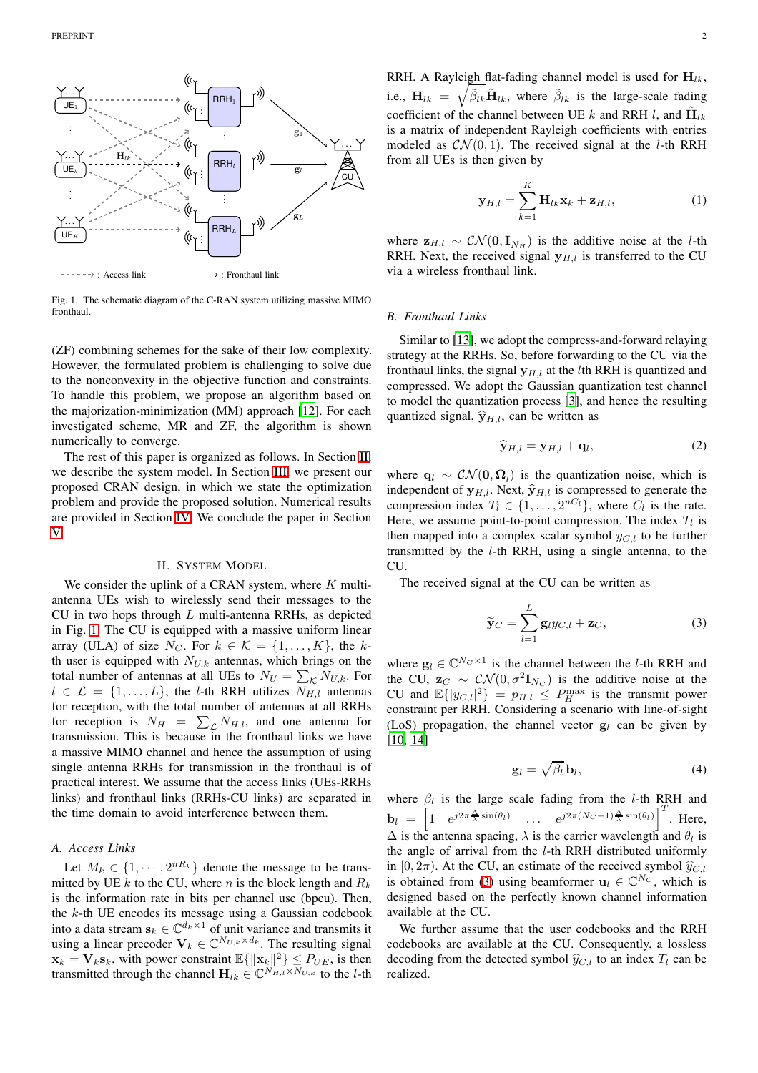

<span id="page-1-1"></span>Fig. 1. The schematic diagram of the C-RAN system utilizing massive MIMO fronthaul.

(ZF) combining schemes for the sake of their low complexity. However, the formulated problem is challenging to solve due to the nonconvexity in the objective function and constraints. To handle this problem, we propose an algorithm based on the majorization-minimization (MM) approach [\[12](#page-5-8)]. For each investigated scheme, MR and ZF, the algorithm is shown numerically to converge.

The rest of this paper is organized as follows. In Section [II,](#page-1-0) we describe the system model. In Section [III,](#page-2-0) we present our proposed CRAN design, in which we state the optimization problem and provide the proposed solution. Numerical results are provided in Section [IV.](#page-3-0) We conclude the paper in Section [V.](#page-4-0)

## II. SYSTEM MODEL

<span id="page-1-0"></span>We consider the uplink of a CRAN system, where  $K$  multiantenna UEs wish to wirelessly send their messages to the CU in two hops through  $L$  multi-antenna RRHs, as depicted in Fig. [1.](#page-1-1) The CU is equipped with a massive uniform linear array (ULA) of size  $N_C$ . For  $k \in \mathcal{K} = \{1, \ldots, K\}$ , the kth user is equipped with  $N_{U,k}$  antennas, which brings on the total number of antennas at all UEs to  $N_U = \sum_{\mathcal{K}} N_{U,k}$ . For  $l \in \mathcal{L} = \{1, \ldots, L\}$ , the *l*-th RRH utilizes  $N_{H,l}$  antennas for reception, with the total number of antennas at all RRHs for reception is  $N_H = \sum_{\mathcal{L}} N_{H,l}$ , and one antenna for transmission. This is because in the fronthaul links we have a massive MIMO channel and hence the assumption of using single antenna RRHs for transmission in the fronthaul is of practical interest. We assume that the access links (UEs-RRHs links) and fronthaul links (RRHs-CU links) are separated in the time domain to avoid interference between them.

# *A. Access Links*

Let  $M_k \in \{1, \dots, 2^{nR_k}\}\$  denote the message to be transmitted by UE k to the CU, where n is the block length and  $R_k$ is the information rate in bits per channel use (bpcu). Then, the  $k$ -th UE encodes its message using a Gaussian codebook into a data stream  $\mathbf{s}_k \in \mathbb{C}^{d_k \times 1}$  of unit variance and transmits it using a linear precoder  $V_k \in \mathbb{C}^{N_{U,k} \times d_k}$ . The resulting signal  $\mathbf{x}_k = \mathbf{V}_k \mathbf{s}_k$ , with power constraint  $\mathbb{E}\{\|\mathbf{x}_k\|^2\} \leq P_{UE}$ , is then transmitted through the channel  $\mathbf{H}_{lk} \in \mathbb{C}^{N_{H,l} \times N_{U,k}}$  to the *l*-th

<span id="page-1-4"></span>
$$
\mathbf{y}_{H,l} = \sum_{k=1}^{K} \mathbf{H}_{lk} \mathbf{x}_k + \mathbf{z}_{H,l},
$$
 (1)

where  $z_{H,l} \sim \mathcal{CN}(\mathbf{0}, \mathbf{I}_{N_H})$  is the additive noise at the *l*-th RRH. Next, the received signal  $y_{H,l}$  is transferred to the CU via a wireless fronthaul link.

#### *B. Fronthaul Links*

Similar to [\[13\]](#page-5-9), we adopt the compress-and-forward relaying strategy at the RRHs. So, before forwarding to the CU via the fronthaul links, the signal  $y_{H,l}$  at the *l*th RRH is quantized and compressed. We adopt the Gaussian quantization test channel to model the quantization process [\[3\]](#page-5-10), and hence the resulting quantized signal,  $\hat{\mathbf{y}}_{H,l}$ , can be written as

<span id="page-1-3"></span>
$$
\widehat{\mathbf{y}}_{H,l} = \mathbf{y}_{H,l} + \mathbf{q}_l,\tag{2}
$$

where  $\mathbf{q}_l \sim \mathcal{CN}(\mathbf{0}, \mathbf{\Omega}_l)$  is the quantization noise, which is independent of  $y_{H,l}$ . Next,  $\hat{y}_{H,l}$  is compressed to generate the compression index  $T_l \in \{1, \ldots, 2^{nC_l}\}$ , where  $C_l$  is the rate. Here, we assume point-to-point compression. The index  $T_l$  is then mapped into a complex scalar symbol  $y_{C,l}$  to be further transmitted by the l-th RRH, using a single antenna, to the CU.

The received signal at the CU can be written as

<span id="page-1-2"></span>
$$
\widetilde{\mathbf{y}}_C = \sum_{l=1}^L \mathbf{g}_l y_{C,l} + \mathbf{z}_C,\tag{3}
$$

where  $\mathbf{g}_l \in \mathbb{C}^{N_C \times 1}$  is the channel between the *l*-th RRH and the CU,  $\mathbf{z}_C \sim \mathcal{CN}(0, \sigma^2 \mathbf{I}_{N_C})$  is the additive noise at the CU and  $\mathbb{E}\{|y_{C,l}|^2\} = p_{H,l} \leq P_H^{\max}$  is the transmit power constraint per RRH. Considering a scenario with line-of-sight (LoS) propagation, the channel vector  $g_l$  can be given by [\[10,](#page-5-6) [14\]](#page-5-11)

<span id="page-1-5"></span>
$$
\mathbf{g}_l = \sqrt{\beta_l} \, \mathbf{b}_l,\tag{4}
$$

where  $\beta_l$  is the large scale fading from the *l*-th RRH and  $\mathbf{b}_l = \begin{bmatrix} 1 & e^{j2\pi \frac{\Delta}{\lambda} \sin(\theta_l)} & \cdots & e^{j2\pi(N_C-1)\frac{\Delta}{\lambda} \sin(\theta_l)} \end{bmatrix}^T$ . Here,  $\Delta$  is the antenna spacing,  $\lambda$  is the carrier wavelength and  $\theta_l$  is the angle of arrival from the l-th RRH distributed uniformly in [0,  $2\pi$ ). At the CU, an estimate of the received symbol  $\hat{y}_{C,l}$ is obtained from [\(3\)](#page-1-2) using beamformer  $\mathbf{u}_l \in \mathbb{C}^{N_C}$ , which is designed based on the perfectly known channel information available at the CU.

We further assume that the user codebooks and the RRH codebooks are available at the CU. Consequently, a lossless decoding from the detected symbol  $\hat{y}_{C,l}$  to an index  $T_l$  can be realized.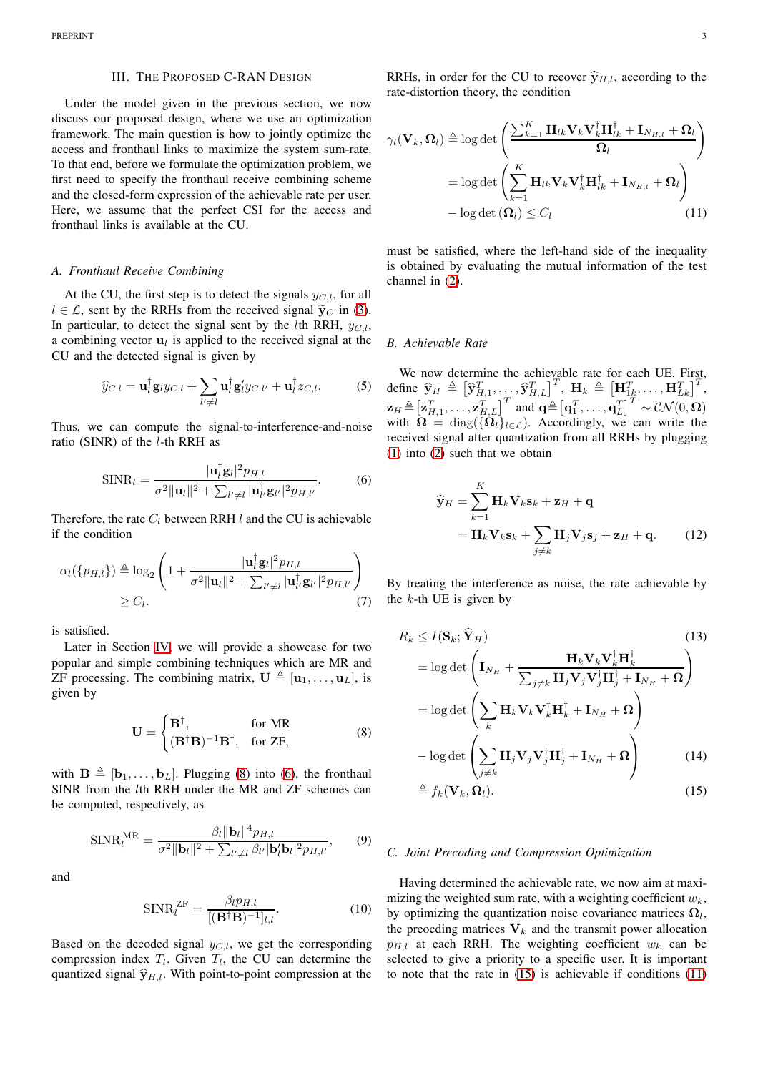#### III. THE PROPOSED C-RAN DESIGN

<span id="page-2-0"></span>Under the model given in the previous section, we now discuss our proposed design, where we use an optimization framework. The main question is how to jointly optimize the access and fronthaul links to maximize the system sum-rate. To that end, before we formulate the optimization problem, we first need to specify the fronthaul receive combining scheme and the closed-form expression of the achievable rate per user. Here, we assume that the perfect CSI for the access and fronthaul links is available at the CU.

### *A. Fronthaul Receive Combining*

At the CU, the first step is to detect the signals  $y_{C,l}$ , for all  $l \in \mathcal{L}$ , sent by the RRHs from the received signal  $\tilde{y}_C$  in [\(3\)](#page-1-2). In particular, to detect the signal sent by the *l*th RRH,  $y_{C,l}$ , a combining vector  $\mathbf{u}_l$  is applied to the received signal at the CU and the detected signal is given by

$$
\widehat{y}_{C,l} = \mathbf{u}_l^{\dagger} \mathbf{g}_l y_{C,l} + \sum_{l' \neq l} \mathbf{u}_l^{\dagger} \mathbf{g}_l' y_{C,l'} + \mathbf{u}_l^{\dagger} z_{C,l}.
$$
 (5)

Thus, we can compute the signal-to-interference-and-noise ratio (SINR) of the  $l$ -th RRH as

$$
\text{SINR}_l = \frac{|\mathbf{u}_l^\dagger \mathbf{g}_l|^2 p_{H,l}}{\sigma^2 \|\mathbf{u}_l\|^2 + \sum_{l' \neq l} |\mathbf{u}_l^\dagger \mathbf{g}_{l'}|^2 p_{H,l'}}.
$$
(6)

Therefore, the rate  $C_l$  between RRH l and the CU is achievable if the condition

$$
\alpha_l(\{p_{H,l}\}) \triangleq \log_2\left(1 + \frac{|\mathbf{u}_l^{\dagger}\mathbf{g}_l|^2 p_{H,l}}{\sigma^2 \|\mathbf{u}_l\|^2 + \sum_{l' \neq l} |\mathbf{u}_{l'}^{\dagger}\mathbf{g}_{l'}|^2 p_{H,l'}}\right) \geq C_l.
$$
\n(7)

is satisfied.

Later in Section [IV,](#page-3-0) we will provide a showcase for two popular and simple combining techniques which are MR and ZF processing. The combining matrix,  $\mathbf{U} \triangleq [\mathbf{u}_1, \dots, \mathbf{u}_L]$ , is given by

$$
\mathbf{U} = \begin{cases} \mathbf{B}^{\dagger}, & \text{for MR} \\ (\mathbf{B}^{\dagger} \mathbf{B})^{-1} \mathbf{B}^{\dagger}, & \text{for ZF,} \end{cases}
$$
 (8)

with  $\mathbf{B} \triangleq [\mathbf{b}_1, \dots, \mathbf{b}_L]$ . Plugging [\(8\)](#page-2-1) into [\(6\)](#page-2-2), the fronthaul SINR from the lth RRH under the MR and ZF schemes can be computed, respectively, as

$$
\text{SINR}_{l}^{\text{MR}} = \frac{\beta_{l} \|\mathbf{b}_{l}\|^{4} p_{H,l}}{\sigma^{2} \|\mathbf{b}_{l}\|^{2} + \sum_{l' \neq l} \beta_{l'} |\mathbf{b}_{l}' \mathbf{b}_{l}|^{2} p_{H,l'}},\qquad(9)
$$

and

$$
\text{SINR}_{l}^{\text{ZF}} = \frac{\beta_{l} p_{H,l}}{[(\mathbf{B}^{\dagger} \mathbf{B})^{-1}]_{l,l}}.
$$
 (10)

Based on the decoded signal  $y_{C,l}$ , we get the corresponding compression index  $T_l$ . Given  $T_l$ , the CU can determine the quantized signal  $\hat{\mathbf{y}}_{H,l}$ . With point-to-point compression at the

RRHs, in order for the CU to recover  $\hat{\mathbf{y}}_{H,l}$ , according to the rate-distortion theory, the condition

$$
\gamma_l(\mathbf{V}_k, \Omega_l) \triangleq \log \det \left( \frac{\sum_{k=1}^K \mathbf{H}_{lk} \mathbf{V}_k \mathbf{V}_k^\dagger \mathbf{H}_{lk}^\dagger + \mathbf{I}_{N_{H,l}} + \Omega_l}{\Omega_l} \right)
$$

$$
= \log \det \left( \sum_{k=1}^K \mathbf{H}_{lk} \mathbf{V}_k \mathbf{V}_k^\dagger \mathbf{H}_{lk}^\dagger + \mathbf{I}_{N_{H,l}} + \Omega_l \right)
$$

$$
- \log \det (\Omega_l) \leq C_l \tag{11}
$$

<span id="page-2-4"></span>must be satisfied, where the left-hand side of the inequality is obtained by evaluating the mutual information of the test channel in [\(2\)](#page-1-3).

#### *B. Achievable Rate*

We now determine the achievable rate for each UE. First, define  $\widehat{\mathbf{y}}_H \triangleq \left[\widehat{\mathbf{y}}_{H,1}^T, \ldots, \widehat{\mathbf{y}}_{H,L}^T\right]^T, \ \mathbf{H}_k \triangleq \left[\mathbf{H}_{1k}^T, \ldots, \mathbf{H}_{Lk}^T\right]^T,$  $\mathbf{z}_H \triangleq [\mathbf{z}_{H,1}^T, \dots, \mathbf{z}_{H,L}^T]^T$  and  $\mathbf{q} \triangleq [\mathbf{q}_1^T, \dots, \mathbf{q}_L^T]^T \sim \mathcal{CN}(0, \mathbf{\Omega})$ with  $\Omega = \text{diag}(\{\Omega_l\}_{l \in \mathcal{L}})$ . Accordingly, we can write the received signal after quantization from all RRHs by plugging [\(1\)](#page-1-4) into [\(2\)](#page-1-3) such that we obtain

<span id="page-2-2"></span>
$$
\widehat{\mathbf{y}}_H = \sum_{k=1}^K \mathbf{H}_k \mathbf{V}_k \mathbf{s}_k + \mathbf{z}_H + \mathbf{q}
$$
\n
$$
= \mathbf{H}_k \mathbf{V}_k \mathbf{s}_k + \sum_{j \neq k} \mathbf{H}_j \mathbf{V}_j \mathbf{s}_j + \mathbf{z}_H + \mathbf{q}.
$$
\n(12)

<span id="page-2-5"></span>By treating the interference as noise, the rate achievable by the  $k$ -th UE is given by

<span id="page-2-1"></span>
$$
R_k \leq I(\mathbf{S}_k; \mathbf{Y}_H)
$$
\n
$$
= \log \det \left( \mathbf{I}_{N_H} + \frac{\mathbf{H}_k \mathbf{V}_k \mathbf{V}_k^{\dagger} \mathbf{H}_k^{\dagger}}{\sum_{j \neq k} \mathbf{H}_j \mathbf{V}_j \mathbf{V}_j^{\dagger} \mathbf{H}_j^{\dagger} + \mathbf{I}_{N_H} + \Omega} \right)
$$
\n
$$
= \log \det \left( \sum_k \mathbf{H}_k \mathbf{V}_k \mathbf{V}_k^{\dagger} \mathbf{H}_k^{\dagger} + \mathbf{I}_{N_H} + \Omega \right)
$$
\n
$$
- \log \det \left( \sum_{j \neq k} \mathbf{H}_j \mathbf{V}_j \mathbf{V}_j^{\dagger} \mathbf{H}_j^{\dagger} + \mathbf{I}_{N_H} + \Omega \right) \qquad (14)
$$
\n
$$
\triangleq f_k(\mathbf{V}_k, \Omega_l). \qquad (15)
$$

#### <span id="page-2-3"></span>*C. Joint Precoding and Compression Optimization*

Having determined the achievable rate, we now aim at maximizing the weighted sum rate, with a weighting coefficient  $w_k$ , by optimizing the quantization noise covariance matrices  $\Omega_l$ , the preocding matrices  $V_k$  and the transmit power allocation  $p_{H,l}$  at each RRH. The weighting coefficient  $w_k$  can be selected to give a priority to a specific user. It is important to note that the rate in [\(15\)](#page-2-3) is achievable if conditions [\(11\)](#page-2-4)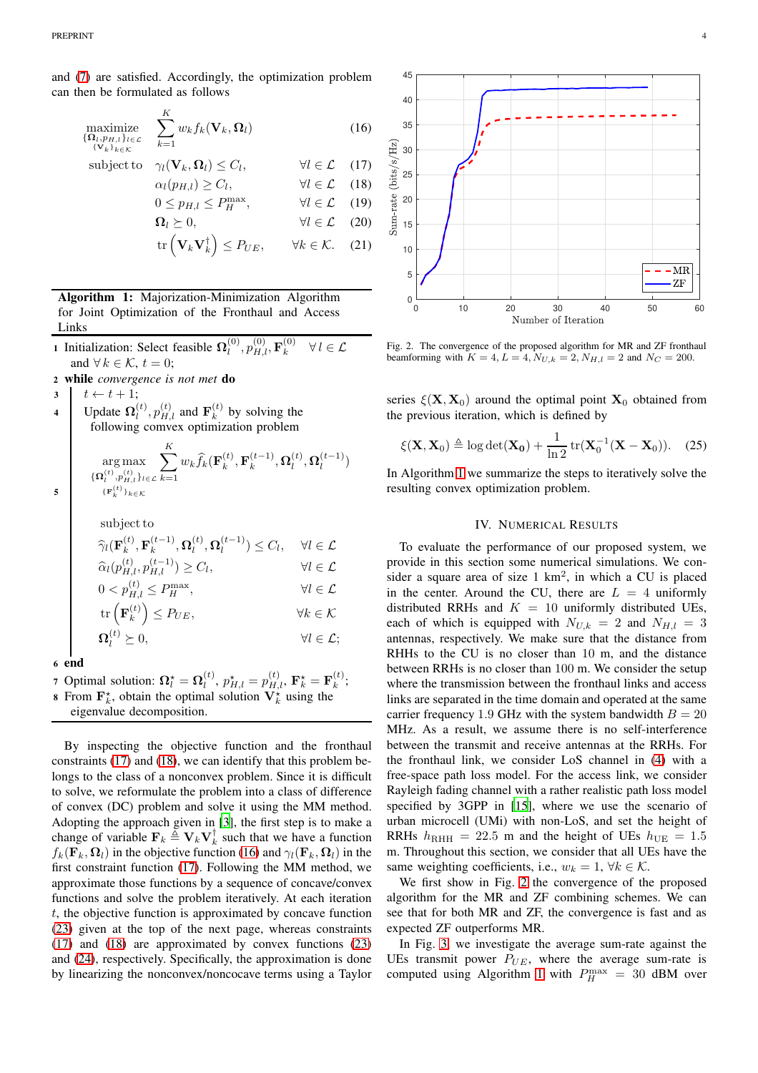and [\(7\)](#page-2-5) are satisfied. Accordingly, the optimization problem can then be formulated as follows

$$
\underset{\{\mathbf{V}_k\}_{k\in\mathcal{K}}}{\text{maximize}} \sum_{k=1}^{K} w_k f_k(\mathbf{V}_k, \mathbf{\Omega}_l)
$$
\n
$$
(16)
$$

subject to 
$$
\gamma_l(\mathbf{V}_k, \mathbf{\Omega}_l) \leq C_l
$$
,  $\forall l \in \mathcal{L}$  (17)  
\n $\alpha_l(p_{H,l}) \geq C_l$ ,  $\forall l \in \mathcal{L}$  (18)  
\n $0 \leq p_{H,l} \leq P_H^{\max}$ ,  $\forall l \in \mathcal{L}$  (19)  
\n $\mathbf{\Omega}_l \geq 0$ ,  $\forall l \in \mathcal{L}$  (20)  
\n $\text{tr}(\mathbf{V}_k \mathbf{V}_k^{\dagger}) \leq P_{UE}$ ,  $\forall k \in \mathcal{K}$ . (21)

<span id="page-3-4"></span>

- 1 Initialization: Select feasible  $\Omega_l^{(0)}$  $\bm{h}_l^{(0)}, p_{H,l}^{(0)}, \mathbf{F}_k^{(0)}$ k  $\forall l \in \mathcal{L}$ and  $\forall k \in \mathcal{K}, t = 0;$
- <sup>2</sup> while *convergence is not met* do

 $\begin{array}{c|c} 3 & t \leftarrow t + 1; \end{array}$ 

4 Update  $\Omega_l^{(t)}$  $\mathbf{p}_{l}^{(t)}, p_{H,l}^{(t)}$  and  $\mathbf{F}_{k}^{(t)}$  $k^{(t)}$  by solving the following comvex optimization problem  $\sum_{k=1}^{K}$ 

$$
\argmax_{\{\boldsymbol{\Omega}_l^{(t)}, \boldsymbol{p}_{H,l}^{(t)}\}_{t \in \mathcal{L}}} \sum_{k=1} w_k \widehat{f}_k(\mathbf{F}_k^{(t)},\mathbf{F}_k^{(t-1)},\boldsymbol{\Omega}_l^{(t)},\boldsymbol{\Omega}_l^{(t-1)})
$$

$$
\begin{aligned}\n\text{subject to} \\
\widehat{\gamma}_l(\mathbf{F}_k^{(t)}, \mathbf{F}_k^{(t-1)}, \mathbf{\Omega}_l^{(t)}, \mathbf{\Omega}_l^{(t-1)}) &\leq C_l, \quad \forall l \in \mathcal{L} \\
\widehat{\alpha}_l(p_{H,l}^{(t)}, p_{H,l}^{(t-1)}) &\geq C_l, \quad \forall l \in \mathcal{L} \\
0 < p_{H,l}^{(t)} \leq P_H^{\max}, \quad \forall l \in \mathcal{L} \\
\text{tr}\left(\mathbf{F}_k^{(t)}\right) &\leq P_{UE}, \quad \forall k \in \mathcal{K} \\
\mathbf{\Omega}_l^{(t)} &\geq 0, \quad \forall l \in \mathcal{L};\n\end{aligned}
$$

<sup>6</sup> end

5

7 Optimal solution:  $\mathbf{\Omega}_l^{\star} = \mathbf{\Omega}_l^{(t)}$ ,  $p_{H,l}^{\star} = p_{H,l}^{(t)}$ ,  $\mathbf{F}_k^{\star} = \mathbf{F}_k^{(t)}$ ; **8** From  $\mathbf{F}_k^*$ , obtain the optimal solution  $\mathbf{V}_k^*$  using the

eigenvalue decomposition.

By inspecting the objective function and the fronthaul constraints [\(17\)](#page-3-1) and [\(18\)](#page-3-2), we can identify that this problem belongs to the class of a nonconvex problem. Since it is difficult to solve, we reformulate the problem into a class of difference of convex (DC) problem and solve it using the MM method. Adopting the approach given in [\[3](#page-5-10)], the first step is to make a change of variable  $\mathbf{F}_k \triangleq \mathbf{V}_k \mathbf{V}_k^{\dagger}$  such that we have a function  $f_k(\mathbf{F}_k, \mathbf{\Omega}_l)$  in the objective function [\(16\)](#page-3-3) and  $\gamma_l(\mathbf{F}_k, \mathbf{\Omega}_l)$  in the first constraint function [\(17\)](#page-3-1). Following the MM method, we approximate those functions by a sequence of concave/convex functions and solve the problem iteratively. At each iteration  $t$ , the objective function is approximated by concave function [\(23\)](#page-4-1) given at the top of the next page, whereas constraints [\(17\)](#page-3-1) and [\(18\)](#page-3-2) are approximated by convex functions [\(23\)](#page-4-1) and [\(24\)](#page-4-2), respectively. Specifically, the approximation is done by linearizing the nonconvex/noncocave terms using a Taylor

<span id="page-3-3"></span><span id="page-3-2"></span><span id="page-3-1"></span>

<span id="page-3-5"></span>Fig. 2. The convergence of the proposed algorithm for MR and ZF fronthaul beamforming with  $K = 4, L = 4, N_{U,k} = 2, N_{H,l} = 2$  and  $N_C = 200$ .

series  $\xi(\mathbf{X}, \mathbf{X}_0)$  around the optimal point  $\mathbf{X}_0$  obtained from the previous iteration, which is defined by

$$
\xi(\mathbf{X}, \mathbf{X}_0) \triangleq \log \det(\mathbf{X_0}) + \frac{1}{\ln 2} \operatorname{tr}(\mathbf{X}_0^{-1}(\mathbf{X} - \mathbf{X}_0)). \quad (25)
$$

<span id="page-3-0"></span>In Algorithm [1](#page-3-4) we summarize the steps to iteratively solve the resulting convex optimization problem.

# IV. NUMERICAL RESULTS

To evaluate the performance of our proposed system, we provide in this section some numerical simulations. We consider a square area of size  $1 \text{ km}^2$ , in which a CU is placed in the center. Around the CU, there are  $L = 4$  uniformly distributed RRHs and  $K = 10$  uniformly distributed UEs, each of which is equipped with  $N_{U,k} = 2$  and  $N_{H,l} = 3$ antennas, respectively. We make sure that the distance from RHHs to the CU is no closer than 10 m, and the distance between RRHs is no closer than 100 m. We consider the setup where the transmission between the fronthaul links and access links are separated in the time domain and operated at the same carrier frequency 1.9 GHz with the system bandwidth  $B = 20$ MHz. As a result, we assume there is no self-interference between the transmit and receive antennas at the RRHs. For the fronthaul link, we consider LoS channel in [\(4\)](#page-1-5) with a free-space path loss model. For the access link, we consider Rayleigh fading channel with a rather realistic path loss model specified by 3GPP in [\[15](#page-5-12)], where we use the scenario of urban microcell (UMi) with non-LoS, and set the height of RRHs  $h_{\text{RHH}} = 22.5$  m and the height of UEs  $h_{\text{UE}} = 1.5$ m. Throughout this section, we consider that all UEs have the same weighting coefficients, i.e.,  $w_k = 1$ ,  $\forall k \in \mathcal{K}$ .

We first show in Fig. [2](#page-3-5) the convergence of the proposed algorithm for the MR and ZF combining schemes. We can see that for both MR and ZF, the convergence is fast and as expected ZF outperforms MR.

In Fig. [3,](#page-4-3) we investigate the average sum-rate against the UEs transmit power  $P_{UE}$ , where the average sum-rate is computed using Algorithm [1](#page-3-4) with  $P_H^{\text{max}} = 30$  dBM over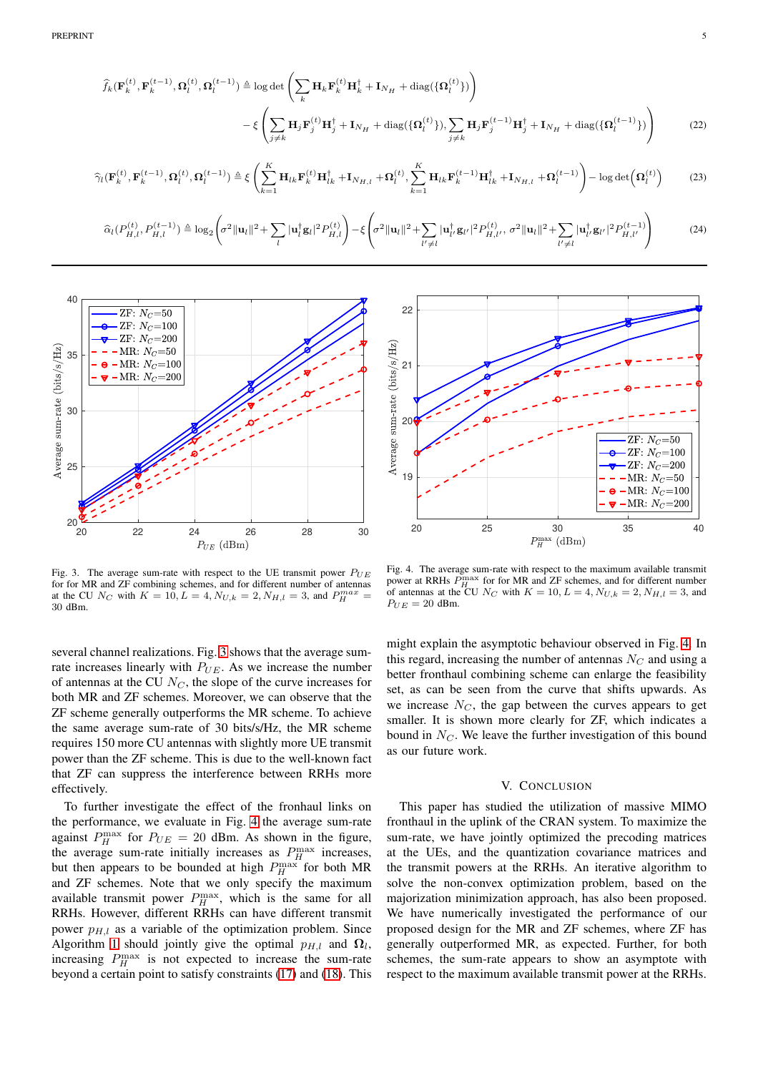$$
\hat{f}_{k}(\mathbf{F}_{k}^{(t)},\mathbf{F}_{k}^{(t-1)},\mathbf{\Omega}_{l}^{(t)},\mathbf{\Omega}_{l}^{(t-1)}) \triangleq \log \det \left(\sum_{k} \mathbf{H}_{k} \mathbf{F}_{k}^{(t)} \mathbf{H}_{k}^{\dagger} + \mathbf{I}_{N_{H}} + \text{diag}(\{\mathbf{\Omega}_{l}^{(t)}\})\right) \n- \xi \left(\sum_{j \neq k} \mathbf{H}_{j} \mathbf{F}_{j}^{(t)} \mathbf{H}_{j}^{\dagger} + \mathbf{I}_{N_{H}} + \text{diag}(\{\mathbf{\Omega}_{l}^{(t)}\}), \sum_{j \neq k} \mathbf{H}_{j} \mathbf{F}_{j}^{(t-1)} \mathbf{H}_{j}^{\dagger} + \mathbf{I}_{N_{H}} + \text{diag}(\{\mathbf{\Omega}_{l}^{(t-1)}\})\right)
$$
\n(22)

$$
\widehat{\gamma}_l(\mathbf{F}_k^{(t)}, \mathbf{F}_k^{(t-1)}, \mathbf{\Omega}_l^{(t)}, \mathbf{\Omega}_l^{(t-1)}) \triangleq \xi \left( \sum_{k=1}^K \mathbf{H}_{lk} \mathbf{F}_k^{(t)} \mathbf{H}_{lk}^\dagger + \mathbf{I}_{N_{H,l}} + \mathbf{\Omega}_l^{(t)}, \sum_{k=1}^K \mathbf{H}_{lk} \mathbf{F}_k^{(t-1)} \mathbf{H}_{lk}^\dagger + \mathbf{I}_{N_{H,l}} + \mathbf{\Omega}_l^{(t-1)} \right) - \log \det \left( \mathbf{\Omega}_l^{(t)} \right) \tag{23}
$$

$$
\widehat{\alpha}_{l}(P_{H,l}^{(t)}, P_{H,l}^{(t-1)}) \triangleq \log_{2} \left( \sigma^{2} \|\mathbf{u}_{l}\|^{2} + \sum_{l} |\mathbf{u}_{l}^{\dagger} \mathbf{g}_{l}|^{2} P_{H,l}^{(t)} \right) - \xi \left( \sigma^{2} \|\mathbf{u}_{l}\|^{2} + \sum_{l'\neq l} |\mathbf{u}_{l'}^{\dagger} \mathbf{g}_{l'}|^{2} P_{H,l'}^{(t)}, \sigma^{2} \|\mathbf{u}_{l}\|^{2} + \sum_{l'\neq l} |\mathbf{u}_{l'}^{\dagger} \mathbf{g}_{l'}|^{2} P_{H,l'}^{(t-1)} \right) \tag{24}
$$



<span id="page-4-3"></span>Fig. 3. The average sum-rate with respect to the UE transmit power  $P_{UE}$ for for MR and ZF combining schemes, and for different number of antennas at the CU  $N_C$  with  $K = 10, L = 4, N_{U,k} = 2, N_{H,l} = 3$ , and  $P_H^{max} =$ 30 dBm.

several channel realizations. Fig. [3](#page-4-3) shows that the average sumrate increases linearly with  $P_{UE}$ . As we increase the number of antennas at the CU  $N_C$ , the slope of the curve increases for both MR and ZF schemes. Moreover, we can observe that the ZF scheme generally outperforms the MR scheme. To achieve the same average sum-rate of 30 bits/s/Hz, the MR scheme requires 150 more CU antennas with slightly more UE transmit power than the ZF scheme. This is due to the well-known fact that ZF can suppress the interference between RRHs more effectively.

To further investigate the effect of the fronhaul links on the performance, we evaluate in Fig. [4](#page-4-4) the average sum-rate against  $P_H^{\text{max}}$  for  $P_{UE} = 20$  dBm. As shown in the figure, the average sum-rate initially increases as  $P_H^{\text{max}}$  increases, but then appears to be bounded at high  $P_H^{\max}$  for both MR and ZF schemes. Note that we only specify the maximum available transmit power  $P_H^{\text{max}}$ , which is the same for all RRHs. However, different RRHs can have different transmit power  $p_{H,l}$  as a variable of the optimization problem. Since Algorithm [1](#page-3-4) should jointly give the optimal  $p_{H,l}$  and  $\Omega_l$ , increasing  $P_H^{\text{max}}$  is not expected to increase the sum-rate beyond a certain point to satisfy constraints [\(17\)](#page-3-1) and [\(18\)](#page-3-2). This

<span id="page-4-2"></span><span id="page-4-1"></span>

<span id="page-4-4"></span>Fig. 4. The average sum-rate with respect to the maximum available transmit power at RRHs  $P_H^{\rm n}$  $H_H^{\text{max}}$  for for MR and ZF schemes, and for different number of antennas at the CU  $N_C$  with  $K = 10, L = 4, N_{U,k} = 2, N_{H,l} = 3$ , and  $P_{UE} = 20$  dBm.

might explain the asymptotic behaviour observed in Fig. [4.](#page-4-4) In this regard, increasing the number of antennas  $N_C$  and using a better fronthaul combining scheme can enlarge the feasibility set, as can be seen from the curve that shifts upwards. As we increase  $N_C$ , the gap between the curves appears to get smaller. It is shown more clearly for ZF, which indicates a bound in  $N_C$ . We leave the further investigation of this bound as our future work.

### V. CONCLUSION

<span id="page-4-0"></span>This paper has studied the utilization of massive MIMO fronthaul in the uplink of the CRAN system. To maximize the sum-rate, we have jointly optimized the precoding matrices at the UEs, and the quantization covariance matrices and the transmit powers at the RRHs. An iterative algorithm to solve the non-convex optimization problem, based on the majorization minimization approach, has also been proposed. We have numerically investigated the performance of our proposed design for the MR and ZF schemes, where ZF has generally outperformed MR, as expected. Further, for both schemes, the sum-rate appears to show an asymptote with respect to the maximum available transmit power at the RRHs.